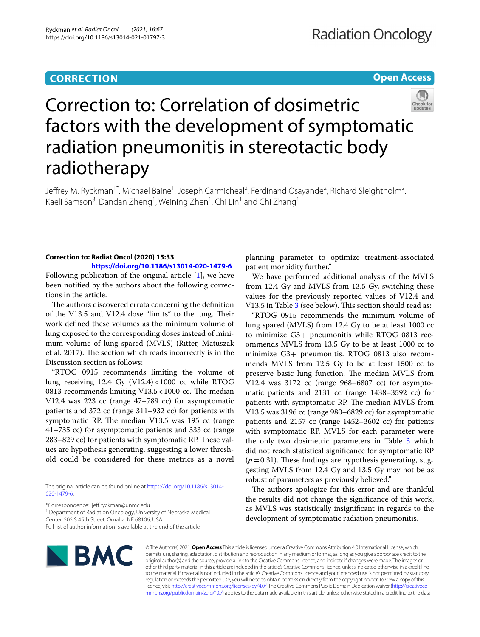# **CORRECTION**

**Open Access**



# Correction to: Correlation of dosimetric factors with the development of symptomatic radiation pneumonitis in stereotactic body radiotherapy

Jeffrey M. Ryckman<sup>1\*</sup>, Michael Baine<sup>1</sup>, Joseph Carmicheal<sup>2</sup>, Ferdinand Osayande<sup>2</sup>, Richard Sleightholm<sup>2</sup>, Kaeli Samson<sup>3</sup>, Dandan Zheng<sup>1</sup>, Weining Zhen<sup>1</sup>, Chi Lin<sup>1</sup> and Chi Zhang<sup>1</sup>

## **Correction to: Radiat Oncol (2020) 15:33**

**<https://doi.org/10.1186/s13014-020-1479-6>** Following publication of the original article [[1\]](#page-1-0), we have been notifed by the authors about the following corrections in the article.

The authors discovered errata concerning the definition of the V13.5 and V12.4 dose "limits" to the lung. Their work defned these volumes as the minimum volume of lung exposed to the corresponding doses instead of minimum volume of lung spared (MVLS) (Ritter, Matuszak et al. 2017). The section which reads incorrectly is in the Discussion section as follows:

"RTOG 0915 recommends limiting the volume of lung receiving 12.4 Gy (V12.4)<1000 cc while RTOG 0813 recommends limiting  $V13.5 < 1000$  cc. The median V12.4 was 223 cc (range 47–789 cc) for asymptomatic patients and 372 cc (range 311–932 cc) for patients with symptomatic RP. The median V13.5 was 195 cc (range 41–735 cc) for asymptomatic patients and 333 cc (range 283–829 cc) for patients with symptomatic RP. These values are hypothesis generating, suggesting a lower threshold could be considered for these metrics as a novel

The original article can be found online at [https://doi.org/10.1186/s13014-](https://doi.org/10.1186/s13014-020-1479-6) [020-1479-6](https://doi.org/10.1186/s13014-020-1479-6).

\*Correspondence: jef.ryckman@unmc.edu

<sup>1</sup> Department of Radiation Oncology, University of Nebraska Medical Center, 505 S 45th Street, Omaha, NE 68106, USA

Full list of author information is available at the end of the article

planning parameter to optimize treatment-associated patient morbidity further."

We have performed additional analysis of the MVLS from 12.4 Gy and MVLS from 13.5 Gy, switching these values for the previously reported values of V12.4 and V13.5 in Table [3](#page-1-1) (see below). This section should read as:

"RTOG 0915 recommends the minimum volume of lung spared (MVLS) from 12.4 Gy to be at least 1000 cc to minimize G3+ pneumonitis while RTOG 0813 recommends MVLS from 13.5 Gy to be at least 1000 cc to minimize G3+ pneumonitis. RTOG 0813 also recommends MVLS from 12.5 Gy to be at least 1500 cc to preserve basic lung function. The median MVLS from V12.4 was 3172 cc (range 968–6807 cc) for asymptomatic patients and 2131 cc (range 1438–3592 cc) for patients with symptomatic RP. The median MVLS from V13.5 was 3196 cc (range 980–6829 cc) for asymptomatic patients and 2157 cc (range 1452–3602 cc) for patients with symptomatic RP. MVLS for each parameter were the only two dosimetric parameters in Table [3](#page-1-1) which did not reach statistical signifcance for symptomatic RP  $(p=0.31)$ . These findings are hypothesis generating, suggesting MVLS from 12.4 Gy and 13.5 Gy may not be as robust of parameters as previously believed."

The authors apologize for this error and are thankful the results did not change the signifcance of this work, as MVLS was statistically insignifcant in regards to the development of symptomatic radiation pneumonitis.



© The Author(s) 2021. **Open Access** This article is licensed under a Creative Commons Attribution 4.0 International License, which permits use, sharing, adaptation, distribution and reproduction in any medium or format, as long as you give appropriate credit to the original author(s) and the source, provide a link to the Creative Commons licence, and indicate if changes were made. The images or other third party material in this article are included in the article's Creative Commons licence, unless indicated otherwise in a credit line to the material. If material is not included in the article's Creative Commons licence and your intended use is not permitted by statutory regulation or exceeds the permitted use, you will need to obtain permission directly from the copyright holder. To view a copy of this licence, visit [http://creativecommons.org/licenses/by/4.0/.](http://creativecommons.org/licenses/by/4.0/) The Creative Commons Public Domain Dedication waiver ([http://creativeco](http://creativecommons.org/publicdomain/zero/1.0/) [mmons.org/publicdomain/zero/1.0/](http://creativecommons.org/publicdomain/zero/1.0/)) applies to the data made available in this article, unless otherwise stated in a credit line to the data.